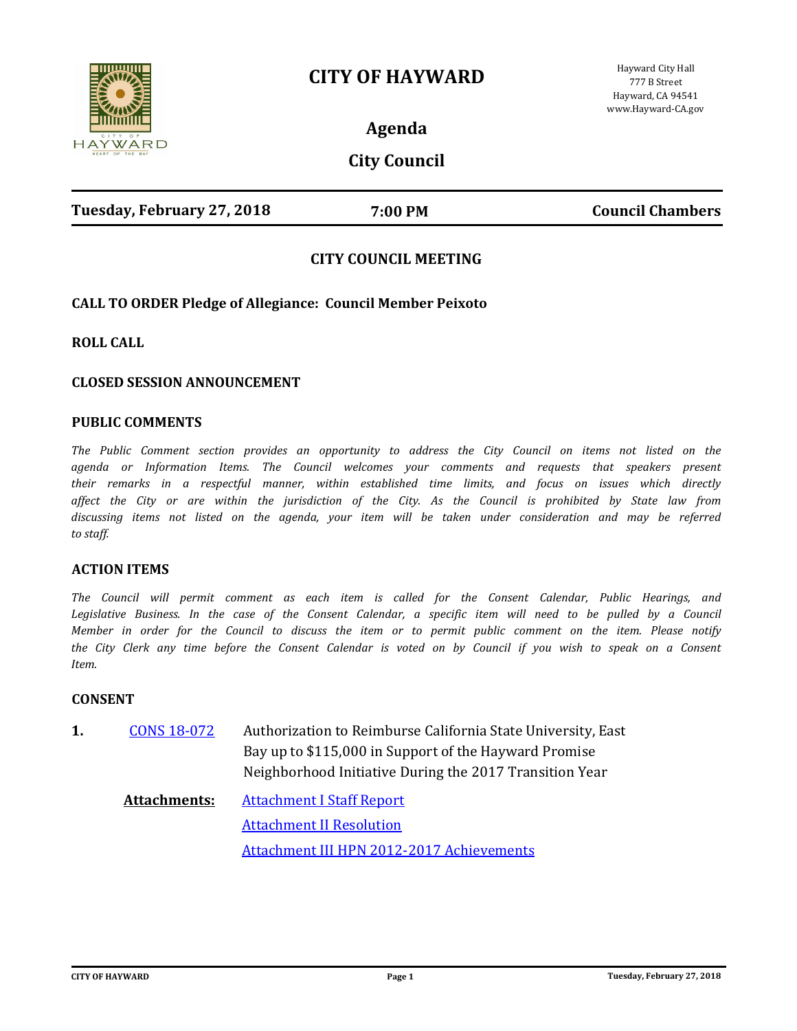



Hayward City Hall 777 B Street Hayward, CA 94541 www.Hayward-CA.gov

**Agenda**

**City Council**

| Tuesday, February 27, 2018 | 7:00 PM | <b>Council Chambers</b> |
|----------------------------|---------|-------------------------|
|                            |         |                         |

# **CITY COUNCIL MEETING**

# **CALL TO ORDER Pledge of Allegiance: Council Member Peixoto**

**ROLL CALL**

### **CLOSED SESSION ANNOUNCEMENT**

### **PUBLIC COMMENTS**

*The Public Comment section provides an opportunity to address the City Council on items not listed on the agenda or Information Items. The Council welcomes your comments and requests that speakers present their remarks in a respectful manner, within established time limits, and focus on issues which directly affect the City or are within the jurisdiction of the City. As the Council is prohibited by State law from discussing items not listed on the agenda, your item will be taken under consideration and may be referred to staff.*

### **ACTION ITEMS**

*The Council will permit comment as each item is called for the Consent Calendar, Public Hearings, and*  Legislative Business. In the case of the Consent Calendar, a specific item will need to be pulled by a Council *Member in order for the Council to discuss the item or to permit public comment on the item. Please notify the City Clerk any time before the Consent Calendar is voted on by Council if you wish to speak on a Consent Item.*

#### **CONSENT**

Authorization to Reimburse California State University, East Bay up to \$115,000 in Support of the Hayward Promise Neighborhood Initiative During the 2017 Transition Year **1.** [CONS 18-072](http://hayward.legistar.com/gateway.aspx?m=l&id=/matter.aspx?key=3597)

**Attachments:** [Attachment I Staff Report](http://hayward.legistar.com/gateway.aspx?M=F&ID=0eeeec35-0c51-4494-9b40-02f62516a884.doc) [Attachment II Resolution](http://hayward.legistar.com/gateway.aspx?M=F&ID=07d89d2a-0b8b-4e76-a926-8802d688f235.doc) [Attachment III HPN 2012-2017 Achievements](http://hayward.legistar.com/gateway.aspx?M=F&ID=1832799d-3671-459f-b853-f34372af7735.docx)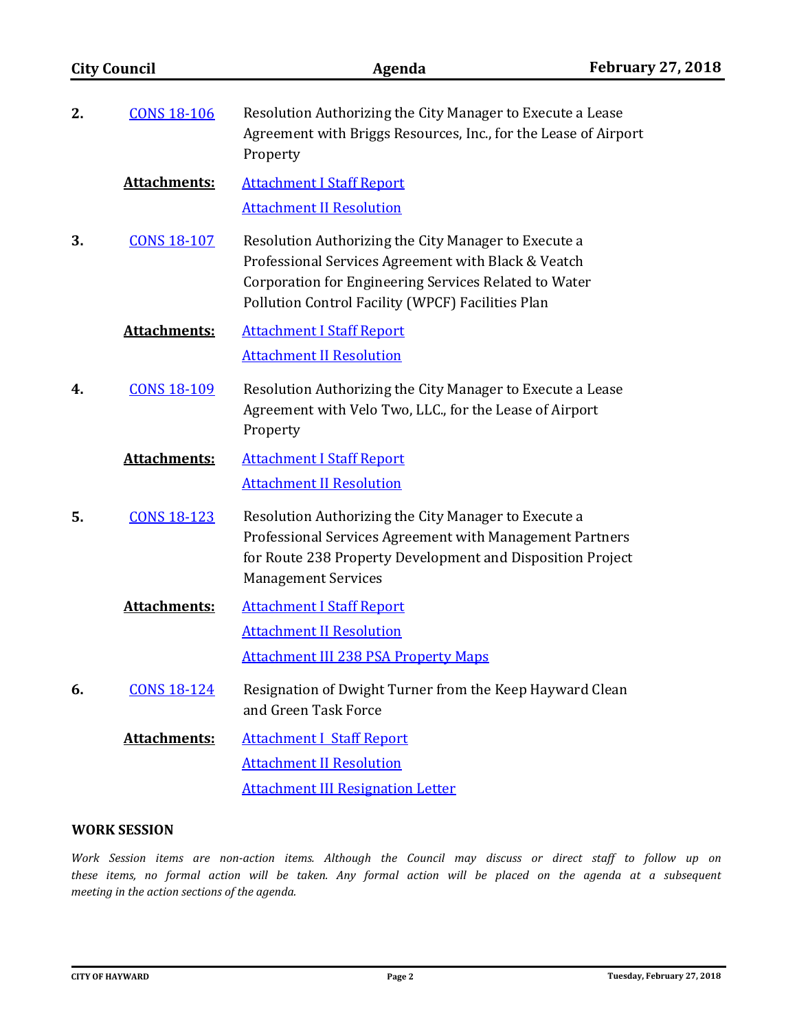| <b>City Council</b><br>2.<br><b>CONS 18-106</b> |                     | Agenda                                                                                                                                                                                                                    | <b>February 27, 2018</b> |  |
|-------------------------------------------------|---------------------|---------------------------------------------------------------------------------------------------------------------------------------------------------------------------------------------------------------------------|--------------------------|--|
|                                                 |                     | Resolution Authorizing the City Manager to Execute a Lease<br>Agreement with Briggs Resources, Inc., for the Lease of Airport<br>Property                                                                                 |                          |  |
|                                                 | <b>Attachments:</b> | <b>Attachment I Staff Report</b><br><b>Attachment II Resolution</b>                                                                                                                                                       |                          |  |
| 3.                                              | <b>CONS 18-107</b>  | Resolution Authorizing the City Manager to Execute a<br>Professional Services Agreement with Black & Veatch<br>Corporation for Engineering Services Related to Water<br>Pollution Control Facility (WPCF) Facilities Plan |                          |  |
|                                                 | <b>Attachments:</b> | <b>Attachment I Staff Report</b><br><b>Attachment II Resolution</b>                                                                                                                                                       |                          |  |
| 4.                                              | <b>CONS 18-109</b>  | Resolution Authorizing the City Manager to Execute a Lease<br>Agreement with Velo Two, LLC., for the Lease of Airport<br>Property                                                                                         |                          |  |
|                                                 | <b>Attachments:</b> | <b>Attachment I Staff Report</b><br><b>Attachment II Resolution</b>                                                                                                                                                       |                          |  |
| 5.                                              | <b>CONS 18-123</b>  | Resolution Authorizing the City Manager to Execute a<br>Professional Services Agreement with Management Partners<br>for Route 238 Property Development and Disposition Project<br><b>Management Services</b>              |                          |  |
|                                                 | <b>Attachments:</b> | <b>Attachment I Staff Report</b>                                                                                                                                                                                          |                          |  |
|                                                 |                     | <b>Attachment II Resolution</b>                                                                                                                                                                                           |                          |  |
|                                                 |                     | <b>Attachment III 238 PSA Property Maps</b>                                                                                                                                                                               |                          |  |
| 6.                                              | <b>CONS 18-124</b>  | Resignation of Dwight Turner from the Keep Hayward Clean<br>and Green Task Force                                                                                                                                          |                          |  |
|                                                 | <b>Attachments:</b> | <b>Attachment I Staff Report</b>                                                                                                                                                                                          |                          |  |
|                                                 |                     | <b>Attachment II Resolution</b>                                                                                                                                                                                           |                          |  |
|                                                 |                     | <b>Attachment III Resignation Letter</b>                                                                                                                                                                                  |                          |  |
|                                                 |                     |                                                                                                                                                                                                                           |                          |  |

# **WORK SESSION**

*Work Session items are non-action items. Although the Council may discuss or direct staff to follow up on these items, no formal action will be taken. Any formal action will be placed on the agenda at a subsequent meeting in the action sections of the agenda.*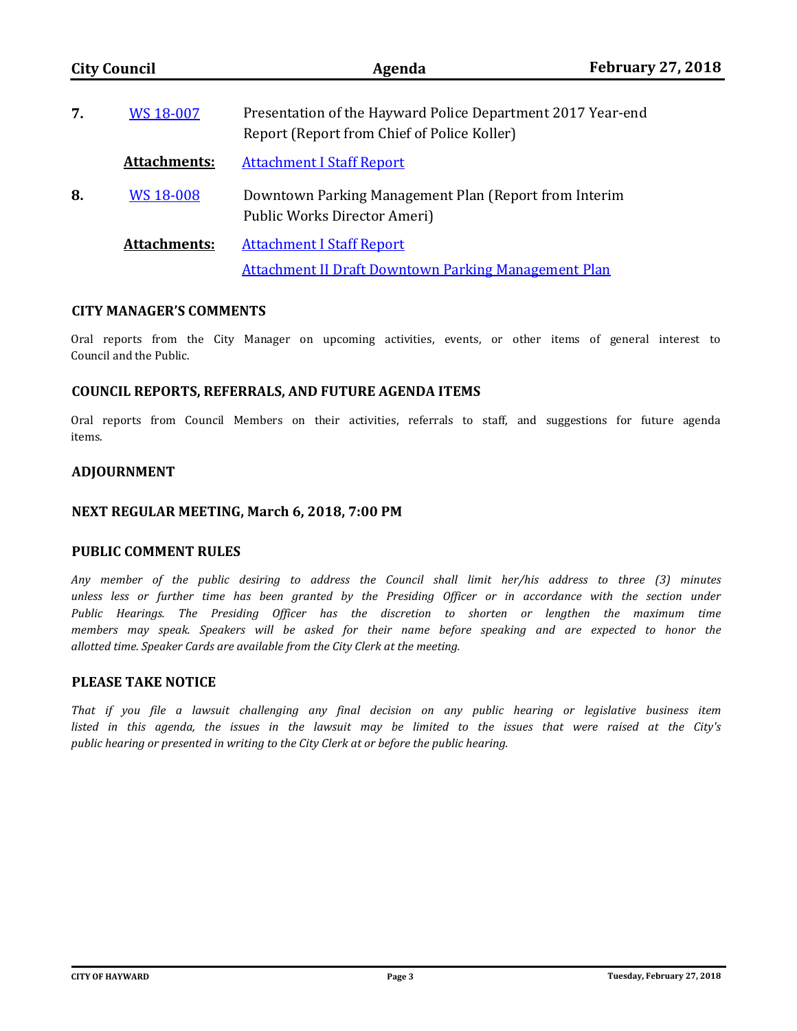| <b>City Council</b><br>WS 18-007<br>7. |                     | Agenda                                                                                                     | <b>February 27, 2018</b> |  |
|----------------------------------------|---------------------|------------------------------------------------------------------------------------------------------------|--------------------------|--|
|                                        |                     | Presentation of the Hayward Police Department 2017 Year-end<br>Report (Report from Chief of Police Koller) |                          |  |
|                                        | <b>Attachments:</b> | <b>Attachment I Staff Report</b>                                                                           |                          |  |
| 8.                                     | <b>WS 18-008</b>    | Downtown Parking Management Plan (Report from Interim<br>Public Works Director Ameri)                      |                          |  |
|                                        | <b>Attachments:</b> | <b>Attachment I Staff Report</b><br><b>Attachment II Draft Downtown Parking Management Plan</b>            |                          |  |

# **CITY MANAGER'S COMMENTS**

Oral reports from the City Manager on upcoming activities, events, or other items of general interest to Council and the Public.

### **COUNCIL REPORTS, REFERRALS, AND FUTURE AGENDA ITEMS**

Oral reports from Council Members on their activities, referrals to staff, and suggestions for future agenda items.

# **ADJOURNMENT**

### **NEXT REGULAR MEETING, March 6, 2018, 7:00 PM**

### **PUBLIC COMMENT RULES**

*Any member of the public desiring to address the Council shall limit her/his address to three (3) minutes unless less or further time has been granted by the Presiding Officer or in accordance with the section under Public Hearings. The Presiding Officer has the discretion to shorten or lengthen the maximum time members may speak. Speakers will be asked for their name before speaking and are expected to honor the allotted time. Speaker Cards are available from the City Clerk at the meeting.*

# **PLEASE TAKE NOTICE**

*That if you file a lawsuit challenging any final decision on any public hearing or legislative business item listed in this agenda, the issues in the lawsuit may be limited to the issues that were raised at the City's public hearing or presented in writing to the City Clerk at or before the public hearing.*